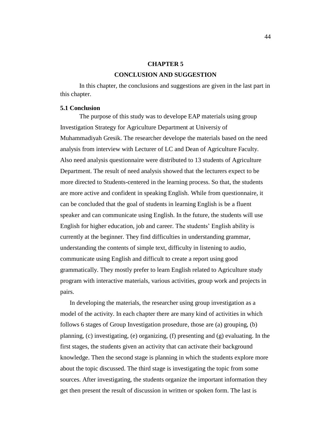## **CHAPTER 5**

# **CONCLUSION AND SUGGESTION**

In this chapter, the conclusions and suggestions are given in the last part in this chapter.

## **5.1 Conclusion**

The purpose of this study was to develope EAP materials using group Investigation Strategy for Agriculture Department at Universiy of Muhammadiyah Gresik. The researcher develope the materials based on the need analysis from interview with Lecturer of LC and Dean of Agriculture Faculty. Also need analysis questionnaire were distributed to 13 students of Agriculture Department. The result of need analysis showed that the lecturers expect to be more directed to Students-centered in the learning process. So that, the students are more active and confident in speaking English. While from questionnaire, it can be concluded that the goal of students in learning English is be a fluent speaker and can communicate using English. In the future, the students will use English for higher education, job and career. The students' English ability is currently at the beginner. They find difficulties in understanding grammar, understanding the contents of simple text, difficulty in listening to audio, communicate using English and difficult to create a report using good grammatically. They mostly prefer to learn English related to Agriculture study program with interactive materials, various activities, group work and projects in pairs.

In developing the materials, the researcher using group investigation as a model of the activity. In each chapter there are many kind of activities in which follows 6 stages of Group Investigation prosedure, those are (a) grouping, (b) planning, (c) investigating, (e) organizing, (f) presenting and (g) evaluating. In the first stages, the students given an activity that can activate their background knowledge. Then the second stage is planning in which the students explore more about the topic discussed. The third stage is investigating the topic from some sources. After investigating, the students organize the important information they get then present the result of discussion in written or spoken form. The last is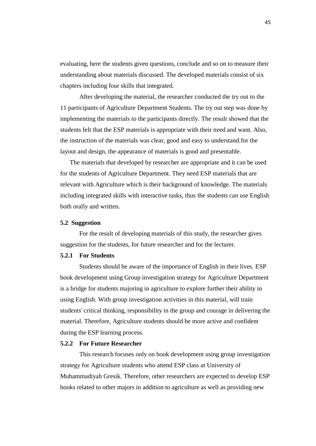evaluating, here the students given questions, conclude and so on to measure their understanding about materials discussed. The developed materials consist of six chapters including four skills that integrated.

After developing the material, the researcher conducted the try out to the 11 participants of Agriculture Department Students. The try out step was done by implementing the materials to the participants directly. The result showed that the students felt that the ESP materials is appropriate with their need and want. Also, the instruction of the materials was clear, good and easy to understand.for the layout and design, the appearance of materials is good and presentable.

The materials that developed by researcher are appropriate and it can be used for the students of Agriculture Department. They need ESP materials that are relevant with Agriculture which is their background of knowledge. The materials including integrated skills with interactive tasks, thus the students can use English both orally and written.

#### **5.2 Suggestion**

For the result of developing materials of this study, the researcher gives suggestion for the students, for future researcher and for the lecturer.

#### **5.2.1 For Students**

Students should be aware of the importance of English in their lives. ESP book development using Group investigation strategy for Agriculture Department is a bridge for students majoring in agriculture to explore further their ability in using English. With group investigation activities in this material, will train students' critical thinking, responsibility in the group and courage in delivering the material. Therefore, Agriculture students should be more active and confident during the ESP learning process.

#### **5.2.2 For Future Researcher**

This research focuses only on book development using group investigation strategy for Agriculture students who attend ESP class at University of Muhammadiyah Gresik. Therefore, other researchers are expected to develop ESP books related to other majors in addition to agriculture as well as providing new